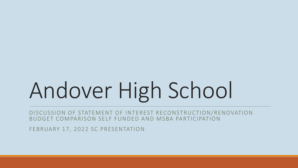# Andover High School

DISCUSSION OF STATEMENT OF INTEREST RECONSTRUCTION/RENOVATION BUDGET COMPARISON SELF FUNDED AND MSBA PARTICIPATION

FEBRUARY 17, 2022 SC PRESENTATION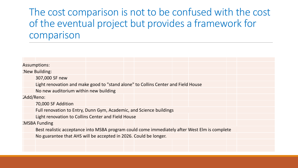### The cost comparison is not to be confused with the cost of the eventual project but provides a framework for comparison

| <b>Assumptions:</b>  |                                                                                               |  |  |  |  |  |  |  |  |
|----------------------|-----------------------------------------------------------------------------------------------|--|--|--|--|--|--|--|--|
| <b>New Building:</b> |                                                                                               |  |  |  |  |  |  |  |  |
|                      | 307,000 SF new                                                                                |  |  |  |  |  |  |  |  |
|                      | Light renovation and make good to "stand alone" to Collins Center and Field House             |  |  |  |  |  |  |  |  |
|                      | No new auditorium within new building                                                         |  |  |  |  |  |  |  |  |
| <b>Add/Reno:</b>     |                                                                                               |  |  |  |  |  |  |  |  |
|                      | 70,000 SF Addition                                                                            |  |  |  |  |  |  |  |  |
|                      | Full renovation to Entry, Dunn Gym, Academic, and Science buildings                           |  |  |  |  |  |  |  |  |
|                      | Light renovation to Collins Center and Field House                                            |  |  |  |  |  |  |  |  |
|                      | <b>MSBA Funding</b>                                                                           |  |  |  |  |  |  |  |  |
|                      | Best realistic acceptance into MSBA program could come immediately after West Elm is complete |  |  |  |  |  |  |  |  |
|                      | No guarantee that AHS will be accepted in 2026. Could be longer.                              |  |  |  |  |  |  |  |  |
|                      |                                                                                               |  |  |  |  |  |  |  |  |
|                      |                                                                                               |  |  |  |  |  |  |  |  |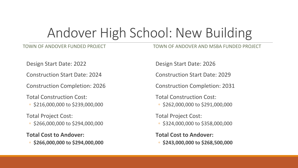## Andover High School: New Building

#### TOWN OF ANDOVER FUNDED PROJECT

TOWN OF ANDOVER AND MSBA FUNDED PROJECT

Design Start Date: 2022

Construction Start Date: 2024

Construction Completion: 2026

Total Construction Cost:

◦ \$216,000,000 to \$239,000,000

Total Project Cost:

◦ \$266,000,000 to \$294,000,000

**Total Cost to Andover:**

◦ **\$266,000,000 to \$294,000,000**

Design Start Date: 2026

Construction Start Date: 2029

Construction Completion: 2031

Total Construction Cost:

◦ \$262,000,000 to \$291,000,000

Total Project Cost: ◦ \$324,000,000 to \$358,000,000

**Total Cost to Andover:** ◦ **\$243,000,000 to \$268,500,000**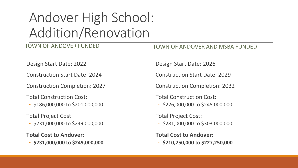# Andover High School: Addition/Renovation

#### TOWN OF ANDOVER FUNDED

TOWN OF ANDOVER AND MSBA FUNDED

Design Start Date: 2022

Construction Start Date: 2024

Construction Completion: 2027

Total Construction Cost:

◦ \$186,000,000 to \$201,000,000

Total Project Cost:

◦ \$231,000,000 to \$249,000,000

**Total Cost to Andover:**

◦ **\$231,000,000 to \$249,000,000**

Design Start Date: 2026

Construction Start Date: 2029

Construction Completion: 2032

Total Construction Cost:

◦ \$226,000,000 to \$245,000,000

Total Project Cost: ◦ \$281,000,000 to \$303,000,000

**Total Cost to Andover:** ◦ **\$210,750,000 to \$227,250,000**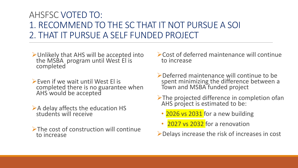#### AHSFSC VOTED TO: 1. RECOMMEND TO THE SC THAT IT NOT PURSUE A SOI 2. THAT IT PURSUE A SELF FUNDED PROJECT

- Unlikely that AHS will be accepted into the MSBA program until West El is completed
- $\triangleright$  Even if we wait until West El is completed there is no guarantee when AHS would be accepted
- $\triangleright$  A delay affects the education HS students will receive
- $\triangleright$ The cost of construction will continue to increase
- Cost of deferred maintenance will continue to increase
- Deferred maintenance will continue to be spent minimizing the difference between a Town and MSBA funded project
- >The projected difference in completion ofan AHS project is estimated to be:
	- 2026 vs 2031 for a new building
	- **2027 vs 2032** for a renovation
- Delays increase the risk of increases in cost